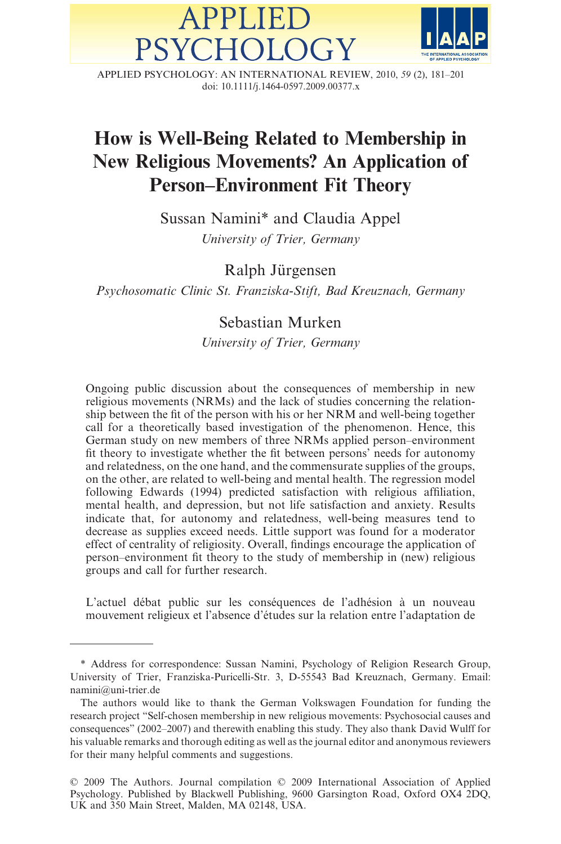

APPLIED PSYCHOLOGY: AN INTERNATIONAL REVIEW, 2010, *59* (2), 181–201 doi: 10.1111/j.1464-0597.2009.00377.x

APPLIED

**PSYCHOLO** 

# **How is Well-Being Related to Membership in New Religious Movements? An Application of Person–Environment Fit Theory**

Sussan Namini\* and Claudia Appel *University of Trier, Germany*

Ralph Jürgensen

*Psychosomatic Clinic St. Franziska-Stift, Bad Kreuznach, Germany*

# Sebastian Murken

*University of Trier, Germany*

Ongoing public discussion about the consequences of membership in new religious movements (NRMs) and the lack of studies concerning the relationship between the fit of the person with his or her NRM and well-being together call for a theoretically based investigation of the phenomenon. Hence, this German study on new members of three NRMs applied person–environment fit theory to investigate whether the fit between persons' needs for autonomy and relatedness, on the one hand, and the commensurate supplies of the groups, on the other, are related to well-being and mental health. The regression model following Edwards (1994) predicted satisfaction with religious affiliation, mental health, and depression, but not life satisfaction and anxiety. Results indicate that, for autonomy and relatedness, well-being measures tend to decrease as supplies exceed needs. Little support was found for a moderator effect of centrality of religiosity. Overall, findings encourage the application of person–environment fit theory to the study of membership in (new) religious groups and call for further research.

L'actuel débat public sur les conséquences de l'adhésion à un nouveau mouvement religieux et l'absence d'études sur la relation entre l'adaptation de

<sup>\*</sup> Address for correspondence: Sussan Namini, Psychology of Religion Research Group, University of Trier, Franziska-Puricelli-Str. 3, D-55543 Bad Kreuznach, Germany. Email: namini@uni-trier.de

The authors would like to thank the German Volkswagen Foundation for funding the research project "Self-chosen membership in new religious movements: Psychosocial causes and consequences" (2002–2007) and therewith enabling this study. They also thank David Wulff for his valuable remarks and thorough editing as well as the journal editor and anonymous reviewers for their many helpful comments and suggestions.

<sup>© 2009</sup> The Authors. Journal compilation © 2009 International Association of Applied Psychology. Published by Blackwell Publishing, 9600 Garsington Road, Oxford OX4 2DQ, UK and 350 Main Street, Malden, MA 02148, USA.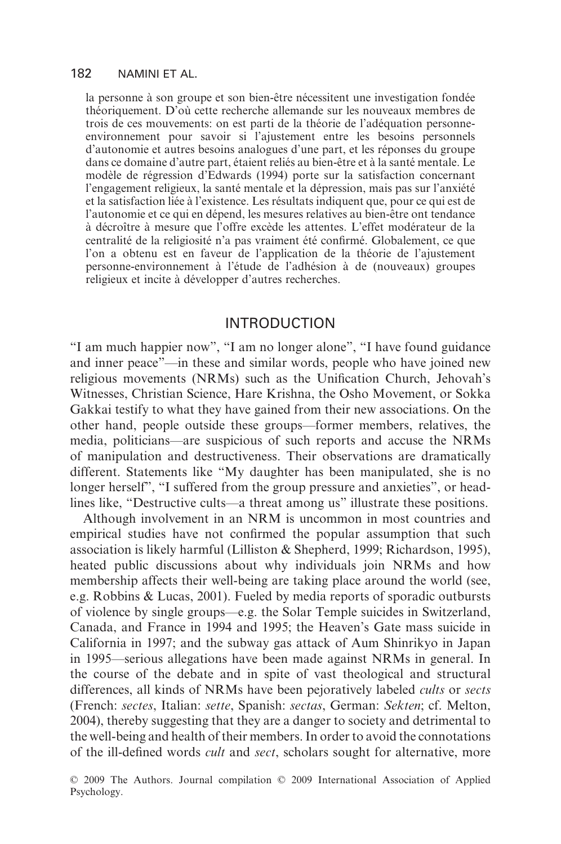la personne à son groupe et son bien-être nécessitent une investigation fondée théoriquement. D'où cette recherche allemande sur les nouveaux membres de trois de ces mouvements: on est parti de la théorie de l'adéquation personneenvironnement pour savoir si l'ajustement entre les besoins personnels d'autonomie et autres besoins analogues d'une part, et les réponses du groupe dans ce domaine d'autre part, étaient reliés au bien-être et à la santé mentale. Le modèle de régression d'Edwards (1994) porte sur la satisfaction concernant l'engagement religieux, la santé mentale et la dépression, mais pas sur l'anxiété et la satisfaction liée à l'existence. Les résultats indiquent que, pour ce qui est de l'autonomie et ce qui en dépend, les mesures relatives au bien-être ont tendance à décroître à mesure que l'offre excède les attentes. L'effet modérateur de la centralité de la religiosité n'a pas vraiment été confirmé. Globalement, ce que l'on a obtenu est en faveur de l'application de la théorie de l'ajustement personne-environnement à l'étude de l'adhésion à de (nouveaux) groupes religieux et incite à développer d'autres recherches.

## INTRODUCTION

"I am much happier now", "I am no longer alone", "I have found guidance and inner peace"—in these and similar words, people who have joined new religious movements (NRMs) such as the Unification Church, Jehovah's Witnesses, Christian Science, Hare Krishna, the Osho Movement, or Sokka Gakkai testify to what they have gained from their new associations. On the other hand, people outside these groups—former members, relatives, the media, politicians—are suspicious of such reports and accuse the NRMs of manipulation and destructiveness. Their observations are dramatically different. Statements like "My daughter has been manipulated, she is no longer herself", "I suffered from the group pressure and anxieties", or headlines like, "Destructive cults—a threat among us" illustrate these positions.

Although involvement in an NRM is uncommon in most countries and empirical studies have not confirmed the popular assumption that such association is likely harmful (Lilliston & Shepherd, 1999; Richardson, 1995), heated public discussions about why individuals join NRMs and how membership affects their well-being are taking place around the world (see, e.g. Robbins & Lucas, 2001). Fueled by media reports of sporadic outbursts of violence by single groups—e.g. the Solar Temple suicides in Switzerland, Canada, and France in 1994 and 1995; the Heaven's Gate mass suicide in California in 1997; and the subway gas attack of Aum Shinrikyo in Japan in 1995—serious allegations have been made against NRMs in general. In the course of the debate and in spite of vast theological and structural differences, all kinds of NRMs have been pejoratively labeled *cults* or *sects* (French: *sectes*, Italian: *sette*, Spanish: *sectas*, German: *Sekten*; cf. Melton, 2004), thereby suggesting that they are a danger to society and detrimental to the well-being and health of their members. In order to avoid the connotations of the ill-defined words *cult* and *sect*, scholars sought for alternative, more

<sup>© 2009</sup> The Authors. Journal compilation © 2009 International Association of Applied Psychology.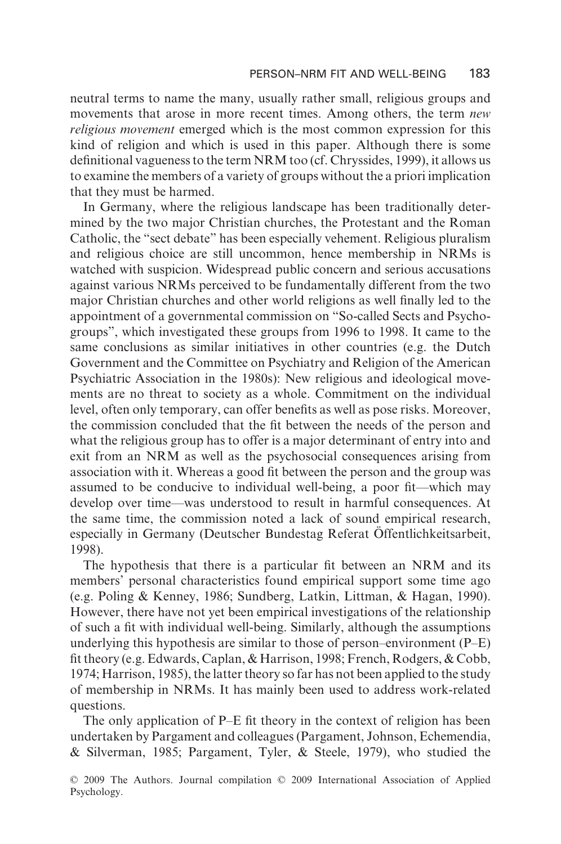neutral terms to name the many, usually rather small, religious groups and movements that arose in more recent times. Among others, the term *new religious movement* emerged which is the most common expression for this kind of religion and which is used in this paper. Although there is some definitional vagueness to the term NRM too (cf. Chryssides, 1999), it allows us to examine the members of a variety of groups without the a priori implication that they must be harmed.

In Germany, where the religious landscape has been traditionally determined by the two major Christian churches, the Protestant and the Roman Catholic, the "sect debate" has been especially vehement. Religious pluralism and religious choice are still uncommon, hence membership in NRMs is watched with suspicion. Widespread public concern and serious accusations against various NRMs perceived to be fundamentally different from the two major Christian churches and other world religions as well finally led to the appointment of a governmental commission on "So-called Sects and Psychogroups", which investigated these groups from 1996 to 1998. It came to the same conclusions as similar initiatives in other countries (e.g. the Dutch Government and the Committee on Psychiatry and Religion of the American Psychiatric Association in the 1980s): New religious and ideological movements are no threat to society as a whole. Commitment on the individual level, often only temporary, can offer benefits as well as pose risks. Moreover, the commission concluded that the fit between the needs of the person and what the religious group has to offer is a major determinant of entry into and exit from an NRM as well as the psychosocial consequences arising from association with it. Whereas a good fit between the person and the group was assumed to be conducive to individual well-being, a poor fit—which may develop over time—was understood to result in harmful consequences. At the same time, the commission noted a lack of sound empirical research, especially in Germany (Deutscher Bundestag Referat Öffentlichkeitsarbeit, 1998).

The hypothesis that there is a particular fit between an NRM and its members' personal characteristics found empirical support some time ago (e.g. Poling & Kenney, 1986; Sundberg, Latkin, Littman, & Hagan, 1990). However, there have not yet been empirical investigations of the relationship of such a fit with individual well-being. Similarly, although the assumptions underlying this hypothesis are similar to those of person–environment (P–E) fit theory (e.g. Edwards, Caplan, & Harrison, 1998; French, Rodgers, & Cobb, 1974; Harrison, 1985), the latter theory so far has not been applied to the study of membership in NRMs. It has mainly been used to address work-related questions.

The only application of P–E fit theory in the context of religion has been undertaken by Pargament and colleagues (Pargament, Johnson, Echemendia, & Silverman, 1985; Pargament, Tyler, & Steele, 1979), who studied the

<sup>© 2009</sup> The Authors. Journal compilation © 2009 International Association of Applied Psychology.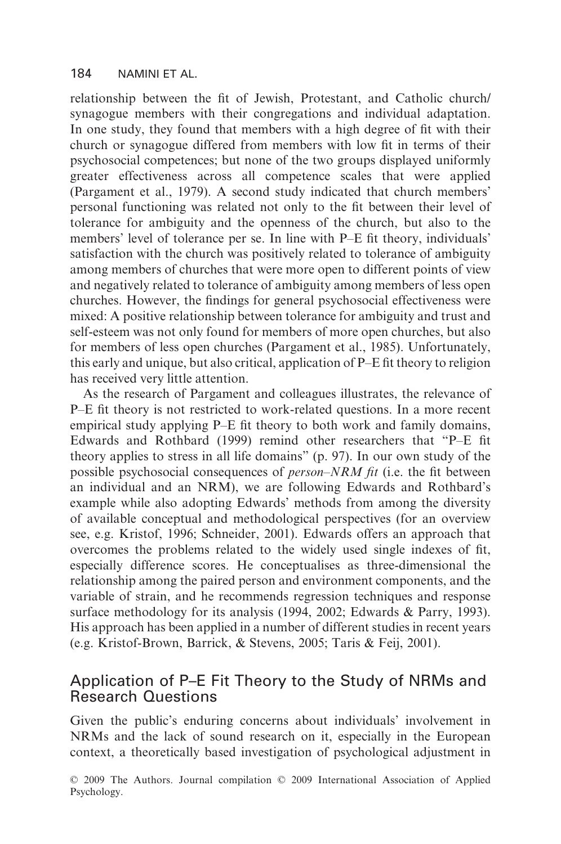relationship between the fit of Jewish, Protestant, and Catholic church/ synagogue members with their congregations and individual adaptation. In one study, they found that members with a high degree of fit with their church or synagogue differed from members with low fit in terms of their psychosocial competences; but none of the two groups displayed uniformly greater effectiveness across all competence scales that were applied (Pargament et al., 1979). A second study indicated that church members' personal functioning was related not only to the fit between their level of tolerance for ambiguity and the openness of the church, but also to the members' level of tolerance per se. In line with P–E fit theory, individuals' satisfaction with the church was positively related to tolerance of ambiguity among members of churches that were more open to different points of view and negatively related to tolerance of ambiguity among members of less open churches. However, the findings for general psychosocial effectiveness were mixed: A positive relationship between tolerance for ambiguity and trust and self-esteem was not only found for members of more open churches, but also for members of less open churches (Pargament et al., 1985). Unfortunately, this early and unique, but also critical, application of P–E fit theory to religion has received very little attention.

As the research of Pargament and colleagues illustrates, the relevance of P–E fit theory is not restricted to work-related questions. In a more recent empirical study applying P–E fit theory to both work and family domains, Edwards and Rothbard (1999) remind other researchers that "P–E fit theory applies to stress in all life domains" (p. 97). In our own study of the possible psychosocial consequences of *person–NRM fit* (i.e. the fit between an individual and an NRM), we are following Edwards and Rothbard's example while also adopting Edwards' methods from among the diversity of available conceptual and methodological perspectives (for an overview see, e.g. Kristof, 1996; Schneider, 2001). Edwards offers an approach that overcomes the problems related to the widely used single indexes of fit, especially difference scores. He conceptualises as three-dimensional the relationship among the paired person and environment components, and the variable of strain, and he recommends regression techniques and response surface methodology for its analysis (1994, 2002; Edwards & Parry, 1993). His approach has been applied in a number of different studies in recent years (e.g. Kristof-Brown, Barrick, & Stevens, 2005; Taris & Feij, 2001).

# Application of P–E Fit Theory to the Study of NRMs and Research Questions

Given the public's enduring concerns about individuals' involvement in NRMs and the lack of sound research on it, especially in the European context, a theoretically based investigation of psychological adjustment in

<sup>© 2009</sup> The Authors. Journal compilation © 2009 International Association of Applied Psychology.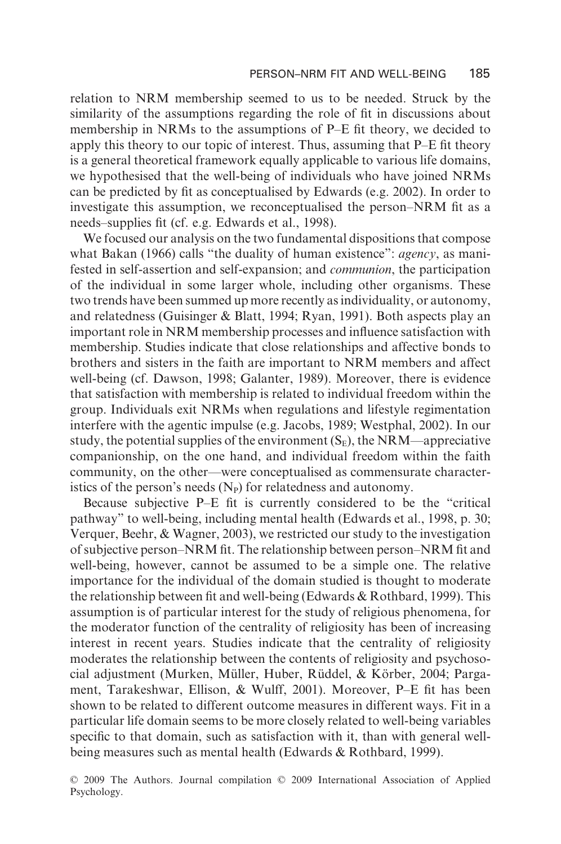relation to NRM membership seemed to us to be needed. Struck by the similarity of the assumptions regarding the role of fit in discussions about membership in NRMs to the assumptions of P–E fit theory, we decided to apply this theory to our topic of interest. Thus, assuming that P–E fit theory is a general theoretical framework equally applicable to various life domains, we hypothesised that the well-being of individuals who have joined NRMs can be predicted by fit as conceptualised by Edwards (e.g. 2002). In order to investigate this assumption, we reconceptualised the person–NRM fit as a needs–supplies fit (cf. e.g. Edwards et al., 1998).

We focused our analysis on the two fundamental dispositions that compose what Bakan (1966) calls "the duality of human existence": *agency*, as manifested in self-assertion and self-expansion; and *communion*, the participation of the individual in some larger whole, including other organisms. These two trends have been summed up more recently as individuality, or autonomy, and relatedness (Guisinger & Blatt, 1994; Ryan, 1991). Both aspects play an important role in NRM membership processes and influence satisfaction with membership. Studies indicate that close relationships and affective bonds to brothers and sisters in the faith are important to NRM members and affect well-being (cf. Dawson, 1998; Galanter, 1989). Moreover, there is evidence that satisfaction with membership is related to individual freedom within the group. Individuals exit NRMs when regulations and lifestyle regimentation interfere with the agentic impulse (e.g. Jacobs, 1989; Westphal, 2002). In our study, the potential supplies of the environment  $(S_E)$ , the NRM—appreciative companionship, on the one hand, and individual freedom within the faith community, on the other—were conceptualised as commensurate characteristics of the person's needs  $(N_P)$  for relatedness and autonomy.

Because subjective P–E fit is currently considered to be the "critical pathway" to well-being, including mental health (Edwards et al., 1998, p. 30; Verquer, Beehr, & Wagner, 2003), we restricted our study to the investigation of subjective person–NRM fit. The relationship between person–NRM fit and well-being, however, cannot be assumed to be a simple one. The relative importance for the individual of the domain studied is thought to moderate the relationship between fit and well-being (Edwards & Rothbard, 1999). This assumption is of particular interest for the study of religious phenomena, for the moderator function of the centrality of religiosity has been of increasing interest in recent years. Studies indicate that the centrality of religiosity moderates the relationship between the contents of religiosity and psychosocial adjustment (Murken, Müller, Huber, Rüddel, & Körber, 2004; Pargament, Tarakeshwar, Ellison, & Wulff, 2001). Moreover, P–E fit has been shown to be related to different outcome measures in different ways. Fit in a particular life domain seems to be more closely related to well-being variables specific to that domain, such as satisfaction with it, than with general wellbeing measures such as mental health (Edwards & Rothbard, 1999).

<sup>© 2009</sup> The Authors. Journal compilation © 2009 International Association of Applied Psychology.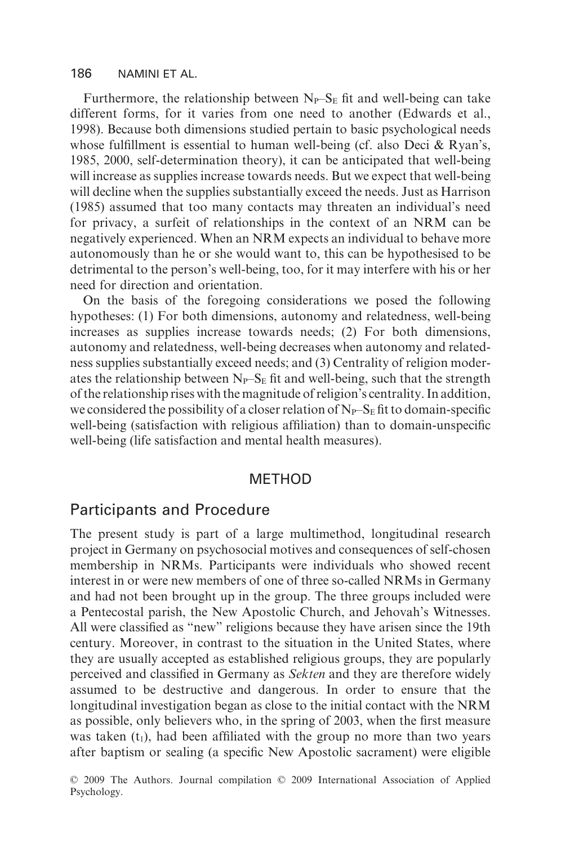Furthermore, the relationship between  $N_{P}-S_{E}$  fit and well-being can take different forms, for it varies from one need to another (Edwards et al., 1998). Because both dimensions studied pertain to basic psychological needs whose fulfillment is essential to human well-being (cf. also Deci & Ryan's, 1985, 2000, self-determination theory), it can be anticipated that well-being will increase as supplies increase towards needs. But we expect that well-being will decline when the supplies substantially exceed the needs. Just as Harrison (1985) assumed that too many contacts may threaten an individual's need for privacy, a surfeit of relationships in the context of an NRM can be negatively experienced. When an NRM expects an individual to behave more autonomously than he or she would want to, this can be hypothesised to be detrimental to the person's well-being, too, for it may interfere with his or her need for direction and orientation.

On the basis of the foregoing considerations we posed the following hypotheses: (1) For both dimensions, autonomy and relatedness, well-being increases as supplies increase towards needs; (2) For both dimensions, autonomy and relatedness, well-being decreases when autonomy and relatedness supplies substantially exceed needs; and (3) Centrality of religion moderates the relationship between  $N_{P}$ –S<sub>E</sub> fit and well-being, such that the strength of the relationship rises with the magnitude of religion's centrality. In addition, we considered the possibility of a closer relation of  $N_{P}$ – $S_{E}$  fit to domain-specific well-being (satisfaction with religious affiliation) than to domain-unspecific well-being (life satisfaction and mental health measures).

## METHOD

# Participants and Procedure

The present study is part of a large multimethod, longitudinal research project in Germany on psychosocial motives and consequences of self-chosen membership in NRMs. Participants were individuals who showed recent interest in or were new members of one of three so-called NRMs in Germany and had not been brought up in the group. The three groups included were a Pentecostal parish, the New Apostolic Church, and Jehovah's Witnesses. All were classified as "new" religions because they have arisen since the 19th century. Moreover, in contrast to the situation in the United States, where they are usually accepted as established religious groups, they are popularly perceived and classified in Germany as *Sekten* and they are therefore widely assumed to be destructive and dangerous. In order to ensure that the longitudinal investigation began as close to the initial contact with the NRM as possible, only believers who, in the spring of 2003, when the first measure was taken  $(t_1)$ , had been affiliated with the group no more than two years after baptism or sealing (a specific New Apostolic sacrament) were eligible

<sup>© 2009</sup> The Authors. Journal compilation © 2009 International Association of Applied Psychology.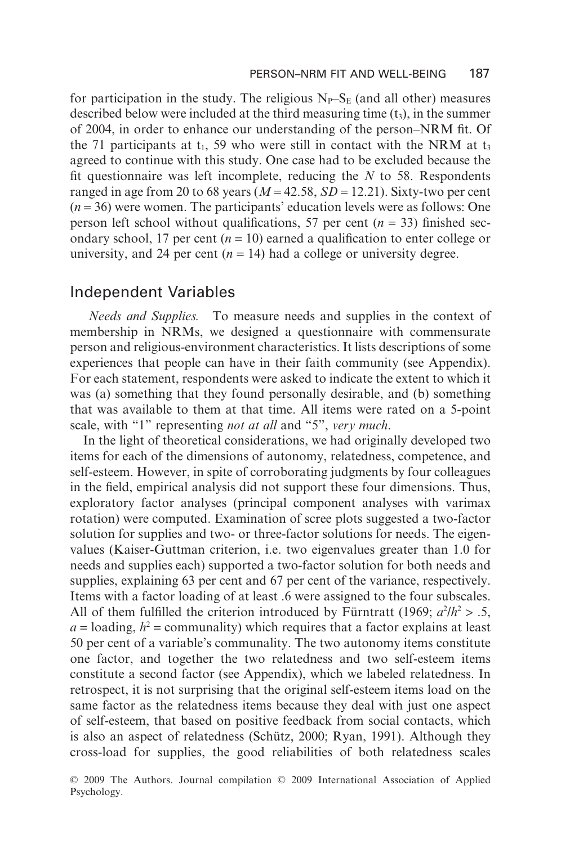for participation in the study. The religious  $N_{P}$ – $S_{E}$  (and all other) measures described below were included at the third measuring time  $(t<sub>3</sub>)$ , in the summer of 2004, in order to enhance our understanding of the person–NRM fit. Of the 71 participants at  $t_1$ , 59 who were still in contact with the NRM at  $t_3$ agreed to continue with this study. One case had to be excluded because the fit questionnaire was left incomplete, reducing the *N* to 58. Respondents ranged in age from 20 to 68 years ( $M = 42.58$ ,  $SD = 12.21$ ). Sixty-two per cent (*n* = 36) were women. The participants' education levels were as follows: One person left school without qualifications, 57 per cent  $(n = 33)$  finished secondary school, 17 per cent  $(n = 10)$  earned a qualification to enter college or university, and 24 per cent  $(n = 14)$  had a college or university degree.

#### Independent Variables

*Needs and Supplies.* To measure needs and supplies in the context of membership in NRMs, we designed a questionnaire with commensurate person and religious-environment characteristics. It lists descriptions of some experiences that people can have in their faith community (see Appendix). For each statement, respondents were asked to indicate the extent to which it was (a) something that they found personally desirable, and (b) something that was available to them at that time. All items were rated on a 5-point scale, with "1" representing *not at all* and "5", *very much*.

In the light of theoretical considerations, we had originally developed two items for each of the dimensions of autonomy, relatedness, competence, and self-esteem. However, in spite of corroborating judgments by four colleagues in the field, empirical analysis did not support these four dimensions. Thus, exploratory factor analyses (principal component analyses with varimax rotation) were computed. Examination of scree plots suggested a two-factor solution for supplies and two- or three-factor solutions for needs. The eigenvalues (Kaiser-Guttman criterion, i.e. two eigenvalues greater than 1.0 for needs and supplies each) supported a two-factor solution for both needs and supplies, explaining 63 per cent and 67 per cent of the variance, respectively. Items with a factor loading of at least .6 were assigned to the four subscales. All of them fulfilled the criterion introduced by Fürntratt (1969;  $a^2/h^2 > .5$ ,  $a =$ loading,  $h^2$  = communality) which requires that a factor explains at least 50 per cent of a variable's communality. The two autonomy items constitute one factor, and together the two relatedness and two self-esteem items constitute a second factor (see Appendix), which we labeled relatedness. In retrospect, it is not surprising that the original self-esteem items load on the same factor as the relatedness items because they deal with just one aspect of self-esteem, that based on positive feedback from social contacts, which is also an aspect of relatedness (Schütz, 2000; Ryan, 1991). Although they cross-load for supplies, the good reliabilities of both relatedness scales

<sup>© 2009</sup> The Authors. Journal compilation © 2009 International Association of Applied Psychology.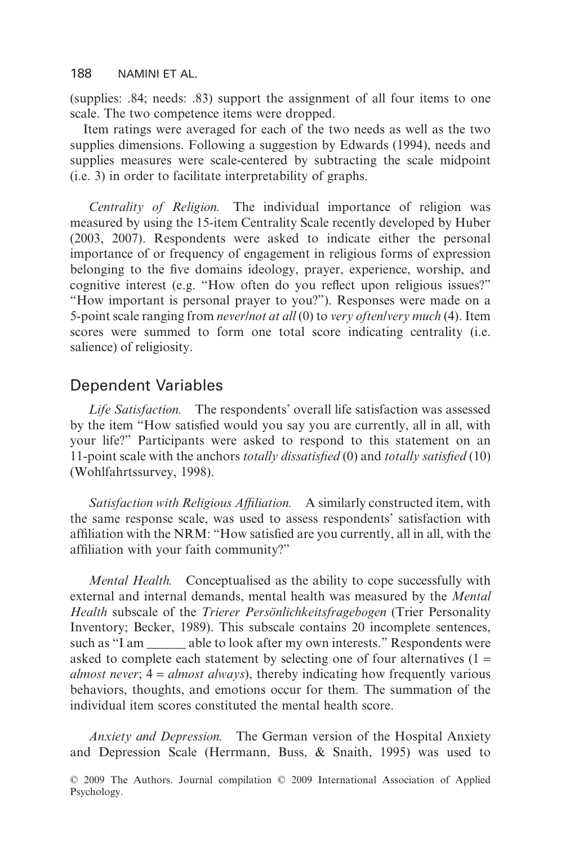(supplies: .84; needs: .83) support the assignment of all four items to one scale. The two competence items were dropped.

Item ratings were averaged for each of the two needs as well as the two supplies dimensions. Following a suggestion by Edwards (1994), needs and supplies measures were scale-centered by subtracting the scale midpoint (i.e. 3) in order to facilitate interpretability of graphs.

*Centrality of Religion.* The individual importance of religion was measured by using the 15-item Centrality Scale recently developed by Huber (2003, 2007). Respondents were asked to indicate either the personal importance of or frequency of engagement in religious forms of expression belonging to the five domains ideology, prayer, experience, worship, and cognitive interest (e.g. "How often do you reflect upon religious issues?" "How important is personal prayer to you?"). Responses were made on a 5-point scale ranging from *never/not at all* (0) to *very often/very much* (4). Item scores were summed to form one total score indicating centrality (i.e. salience) of religiosity.

## Dependent Variables

*Life Satisfaction.* The respondents' overall life satisfaction was assessed by the item "How satisfied would you say you are currently, all in all, with your life?" Participants were asked to respond to this statement on an 11-point scale with the anchors *totally dissatisfied* (0) and *totally satisfied* (10) (Wohlfahrtssurvey, 1998).

*Satisfaction with Religious Affiliation.* A similarly constructed item, with the same response scale, was used to assess respondents' satisfaction with affiliation with the NRM: "How satisfied are you currently, all in all, with the affiliation with your faith community?"

*Mental Health.* Conceptualised as the ability to cope successfully with external and internal demands, mental health was measured by the *Mental Health* subscale of the *Trierer Persönlichkeitsfragebogen* (Trier Personality Inventory; Becker, 1989). This subscale contains 20 incomplete sentences, such as "I am \_\_\_\_\_\_\_\_ able to look after my own interests." Respondents were asked to complete each statement by selecting one of four alternatives  $(1 =$ *almost never*; 4 = *almost always*), thereby indicating how frequently various behaviors, thoughts, and emotions occur for them. The summation of the individual item scores constituted the mental health score.

*Anxiety and Depression.* The German version of the Hospital Anxiety and Depression Scale (Herrmann, Buss, & Snaith, 1995) was used to

<sup>© 2009</sup> The Authors. Journal compilation © 2009 International Association of Applied Psychology.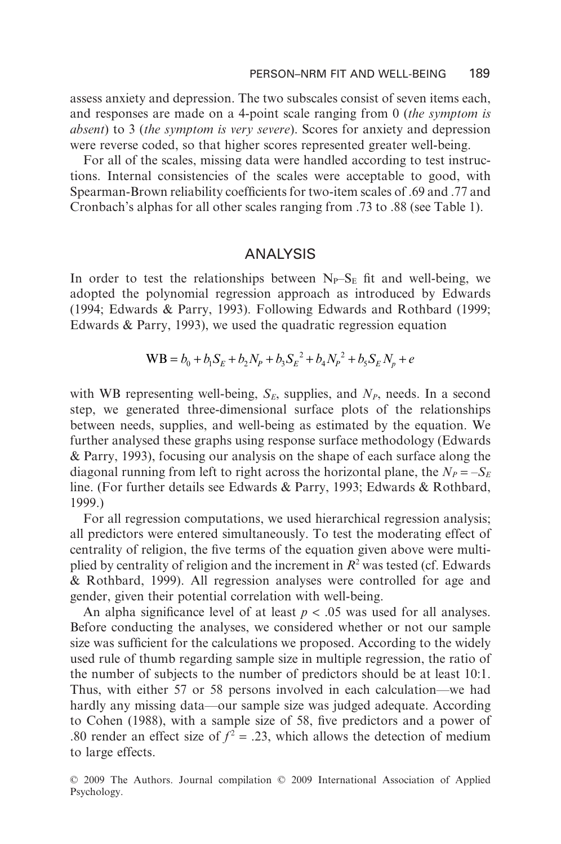assess anxiety and depression. The two subscales consist of seven items each, and responses are made on a 4-point scale ranging from 0 (*the symptom is absent*) to 3 (*the symptom is very severe*). Scores for anxiety and depression were reverse coded, so that higher scores represented greater well-being.

For all of the scales, missing data were handled according to test instructions. Internal consistencies of the scales were acceptable to good, with Spearman-Brown reliability coefficients for two-item scales of .69 and .77 and Cronbach's alphas for all other scales ranging from .73 to .88 (see Table 1).

#### ANALYSIS

In order to test the relationships between  $N_P-S_E$  fit and well-being, we adopted the polynomial regression approach as introduced by Edwards (1994; Edwards & Parry, 1993). Following Edwards and Rothbard (1999; Edwards & Parry, 1993), we used the quadratic regression equation

$$
WB = b_0 + b_1 S_E + b_2 N_P + b_3 S_E^2 + b_4 N_P^2 + b_5 S_E N_P + e
$$

with WB representing well-being,  $S_E$ , supplies, and  $N_P$ , needs. In a second step, we generated three-dimensional surface plots of the relationships between needs, supplies, and well-being as estimated by the equation. We further analysed these graphs using response surface methodology (Edwards & Parry, 1993), focusing our analysis on the shape of each surface along the diagonal running from left to right across the horizontal plane, the  $N_P = -S_E$ line. (For further details see Edwards & Parry, 1993; Edwards & Rothbard, 1999.)

For all regression computations, we used hierarchical regression analysis; all predictors were entered simultaneously. To test the moderating effect of centrality of religion, the five terms of the equation given above were multiplied by centrality of religion and the increment in  $R^2$  was tested (cf. Edwards & Rothbard, 1999). All regression analyses were controlled for age and gender, given their potential correlation with well-being.

An alpha significance level of at least  $p < .05$  was used for all analyses. Before conducting the analyses, we considered whether or not our sample size was sufficient for the calculations we proposed. According to the widely used rule of thumb regarding sample size in multiple regression, the ratio of the number of subjects to the number of predictors should be at least 10:1. Thus, with either 57 or 58 persons involved in each calculation—we had hardly any missing data—our sample size was judged adequate. According to Cohen (1988), with a sample size of 58, five predictors and a power of .80 render an effect size of  $f^2 = .23$ , which allows the detection of medium to large effects.

<sup>© 2009</sup> The Authors. Journal compilation © 2009 International Association of Applied Psychology.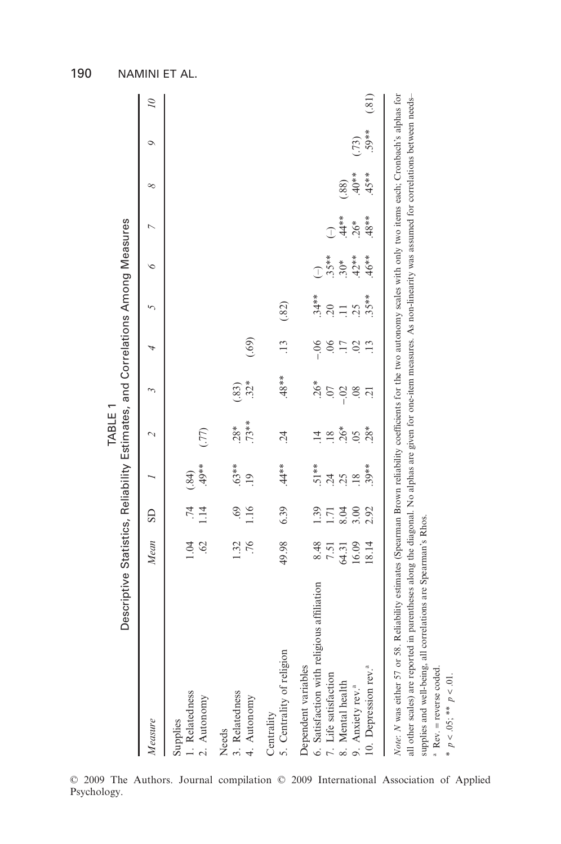| Descriptive Statistics, Reliability Estimates, and Correlations Among Measures                                                                                                                                                                                                                                                                                                                                                                       |                |                       |                            | TABLE 1                  |                |                                   |                |                  |                  |                 |          |                          |
|------------------------------------------------------------------------------------------------------------------------------------------------------------------------------------------------------------------------------------------------------------------------------------------------------------------------------------------------------------------------------------------------------------------------------------------------------|----------------|-----------------------|----------------------------|--------------------------|----------------|-----------------------------------|----------------|------------------|------------------|-----------------|----------|--------------------------|
| Measure                                                                                                                                                                                                                                                                                                                                                                                                                                              | Mean           | $\overline{\text{S}}$ |                            |                          |                |                                   |                | ¢                |                  | ∞               | ◦        | $\overline{\mathcal{L}}$ |
| 1. Relatedness<br>2. Autonomy<br>Supplies                                                                                                                                                                                                                                                                                                                                                                                                            | 1.04<br>S.     | 114                   | $.49**$<br>(.84)           | (77)                     |                |                                   |                |                  |                  |                 |          |                          |
| 3. Relatedness<br>4. Autonomy<br><b>Needs</b>                                                                                                                                                                                                                                                                                                                                                                                                        | 1.32<br>.76    | 69<br>1.16            | $.63**$<br>$\overline{19}$ | $.73**$<br>$28*$         | $32*$<br>(.83) | (0.6)                             |                |                  |                  |                 |          |                          |
| 5. Centrality of religion<br>Centrality                                                                                                                                                                                                                                                                                                                                                                                                              | 49.98          | 6.39                  | $.44**$                    | $\ddot{c}$               | $.48**$        | $\frac{13}{2}$                    | (.82)          |                  |                  |                 |          |                          |
| 6. Satisfaction with religious affiliation<br>Dependent variables<br>7. Life satisfaction                                                                                                                                                                                                                                                                                                                                                            | 8.48<br>7.51   | 39<br>$\overline{5}$  | $.51**$<br>24              | .18                      | $\overline{C}$ | $-0.06$<br>06                     | $.34***$<br>20 | $.35**$          |                  |                 |          |                          |
| 8. Mental health<br>9. Anxiety rev. <sup>a</sup>                                                                                                                                                                                                                                                                                                                                                                                                     | 16.09<br>64.31 | 8.04<br>3.00          | $\overline{18}$<br>25      | $.26*$<br>$\overline{0}$ | $\frac{8}{3}$  | $\overline{17}$<br>$\overline{0}$ | 25<br>$\Xi$    | $.42**$<br>$30*$ | $.44**$<br>$26*$ | $40**$<br>(.88) | (.73)    |                          |
| 10. Depression rev. <sup>a</sup>                                                                                                                                                                                                                                                                                                                                                                                                                     | 18.14          | 2.92                  | $.39**$                    | $28*$                    | $\overline{c}$ | 13                                | $35***$        | $46**$           | $48**$           | $45**$          | $.59***$ | (0.81)                   |
| Note: N was either 57 or 58. Reliability estimates (Spearman Brown reliability coefficients for the two autonomy scales with only two items each; Cronbach's alphas for<br>all other scales) are reported in parentheses along the diagonal. No alphas are given for one-item measures. As non-linearity was assumed for correlations between needs-<br>supplies and well-being, all correlations are Spearman's Rhos.<br>$^a$ Rev. = reverse coded. |                |                       |                            |                          |                |                                   |                |                  |                  |                 |          |                          |
|                                                                                                                                                                                                                                                                                                                                                                                                                                                      |                |                       |                            |                          |                |                                   |                |                  |                  |                 |          |                          |

© 2009 The Authors. Journal compilation © 2009 International Association of Applied Psychology.

*p* < .05; \*\* *p* < .01.

190 NAMINI ET AL.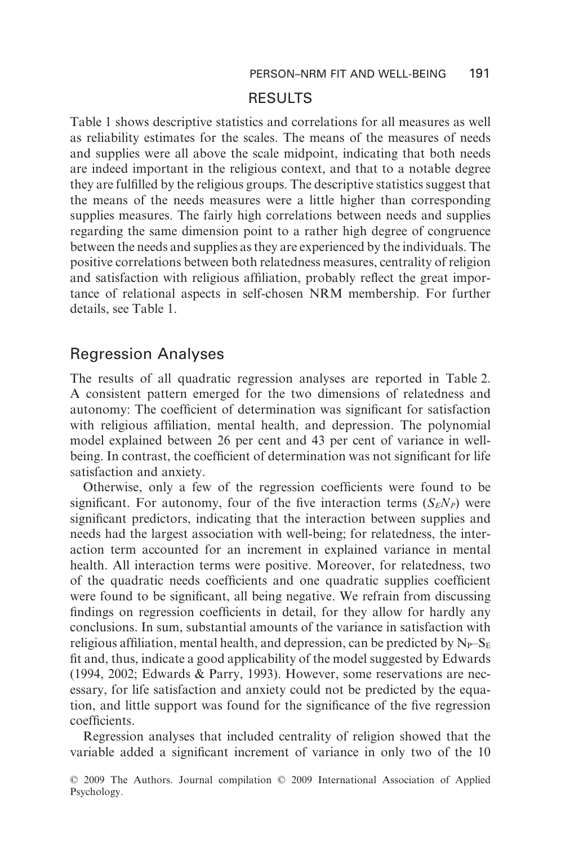## RESULTS

Table 1 shows descriptive statistics and correlations for all measures as well as reliability estimates for the scales. The means of the measures of needs and supplies were all above the scale midpoint, indicating that both needs are indeed important in the religious context, and that to a notable degree they are fulfilled by the religious groups. The descriptive statistics suggest that the means of the needs measures were a little higher than corresponding supplies measures. The fairly high correlations between needs and supplies regarding the same dimension point to a rather high degree of congruence between the needs and supplies as they are experienced by the individuals. The positive correlations between both relatedness measures, centrality of religion and satisfaction with religious affiliation, probably reflect the great importance of relational aspects in self-chosen NRM membership. For further details, see Table 1.

## Regression Analyses

The results of all quadratic regression analyses are reported in Table 2. A consistent pattern emerged for the two dimensions of relatedness and autonomy: The coefficient of determination was significant for satisfaction with religious affiliation, mental health, and depression. The polynomial model explained between 26 per cent and 43 per cent of variance in wellbeing. In contrast, the coefficient of determination was not significant for life satisfaction and anxiety.

Otherwise, only a few of the regression coefficients were found to be significant. For autonomy, four of the five interaction terms  $(S_F N_P)$  were significant predictors, indicating that the interaction between supplies and needs had the largest association with well-being; for relatedness, the interaction term accounted for an increment in explained variance in mental health. All interaction terms were positive. Moreover, for relatedness, two of the quadratic needs coefficients and one quadratic supplies coefficient were found to be significant, all being negative. We refrain from discussing findings on regression coefficients in detail, for they allow for hardly any conclusions. In sum, substantial amounts of the variance in satisfaction with religious affiliation, mental health, and depression, can be predicted by  $N_{P}$ – $S_{E}$ fit and, thus, indicate a good applicability of the model suggested by Edwards (1994, 2002; Edwards & Parry, 1993). However, some reservations are necessary, for life satisfaction and anxiety could not be predicted by the equation, and little support was found for the significance of the five regression coefficients.

Regression analyses that included centrality of religion showed that the variable added a significant increment of variance in only two of the 10

<sup>© 2009</sup> The Authors. Journal compilation © 2009 International Association of Applied Psychology.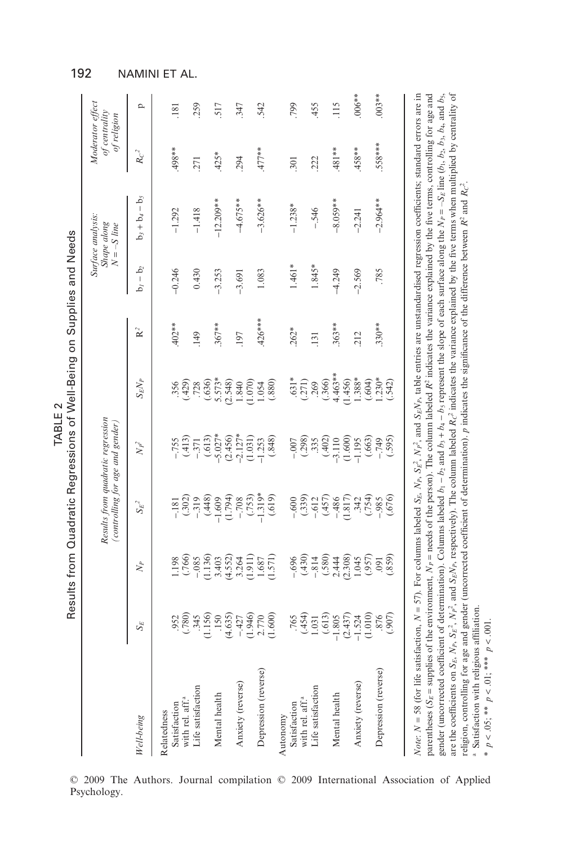|                                                  |                                                               |                               | Results from quadratic regression<br>(controlling for age and gender)         |                                                                       |                                                                                        |                |             | Surface analysis:<br>Shape along<br>$N = -S$ line | Moderator effect<br>of centrality<br>of religion |          |
|--------------------------------------------------|---------------------------------------------------------------|-------------------------------|-------------------------------------------------------------------------------|-----------------------------------------------------------------------|----------------------------------------------------------------------------------------|----------------|-------------|---------------------------------------------------|--------------------------------------------------|----------|
| Well-being                                       | $S_E$                                                         | $\bar{N}_P$                   | $S_E{}^2$                                                                     | $N_P^2$                                                               | $S_E N_P$                                                                              | R <sup>2</sup> | $b_1 - b_2$ | $b_3 + b_4 - b_5$                                 | $R_C^2$                                          | ρ        |
| Relatedness                                      |                                                               |                               |                                                                               |                                                                       |                                                                                        |                |             |                                                   |                                                  |          |
| Satisfaction                                     |                                                               | 1.198<br>(.766)               |                                                                               | $-755$                                                                |                                                                                        | 402**          | $-0.246$    | $-1.292$                                          | ***86                                            | 181      |
| Life satisfaction<br>with rel. aff. <sup>a</sup> | 952<br>0.780)<br>0.1156<br>1.156                              | $-.085$                       | $(302)$<br>$(394)$<br>$(448)$                                                 |                                                                       | 356<br>(429)<br>728                                                                    | 149            | 0.430       | $-1.418$                                          | 271                                              | .259     |
|                                                  |                                                               |                               |                                                                               |                                                                       |                                                                                        |                |             |                                                   |                                                  |          |
| Mental health                                    | (4.635)                                                       | (4.552)<br>$(1.136)$<br>3.403 | $-1.609$<br>$(1.794)$<br>$-708$                                               | $(.413)\n-.371\n(.613)\n-.6027*\n-.6027*\n-.60027*\n-.6127*\n-.6031)$ | $\begin{array}{c} (.636) \\ .6373* \\ .5.773* \\ 0.348) \\ 1.840 \\ 1.070 \end{array}$ | $.367**$       | $-3.253$    | $-12.209**$                                       | $425*$                                           | 517      |
| Anxiety (reverse)                                | $-.427$                                                       | 3.264                         |                                                                               |                                                                       |                                                                                        | 197            | $-3.691$    | $-4.675**$                                        | 294                                              | 347      |
|                                                  |                                                               | (1.911)                       |                                                                               |                                                                       |                                                                                        |                |             |                                                   |                                                  |          |
| Depression (reverse)                             | $(1.946)$<br>$2.770$<br>$(1.600)$                             | 1.687                         | $(.753)$<br>-1.319*                                                           | $-1.253$                                                              | 1.054                                                                                  | 426***         | 1.083       | $-3.626**$                                        | $477**$                                          | 542      |
|                                                  |                                                               | (1.571)                       | (.619)                                                                        | (.848)                                                                | (.880)                                                                                 |                |             |                                                   |                                                  |          |
| Autonomy                                         |                                                               |                               |                                                                               |                                                                       |                                                                                        |                |             |                                                   |                                                  |          |
| Satisfaction                                     | .765                                                          | $-0.696$                      | $000 -$                                                                       | $-0.007$                                                              | $.631*$<br>(.271)                                                                      | $.262*$        | $1.461*$    | $-1.238*$                                         | 301                                              | 799      |
| with rel. aff. <sup>a</sup>                      |                                                               |                               | (.339)                                                                        |                                                                       |                                                                                        |                |             |                                                   |                                                  |          |
| Life satisfaction                                |                                                               | $(.430)$<br>$-814$<br>$(.62)$ |                                                                               |                                                                       | .269                                                                                   | 131            | $1.845*$    | $-.546$                                           | 222                                              | 455      |
|                                                  |                                                               |                               |                                                                               |                                                                       | $(.366)$<br>4.463**                                                                    |                |             |                                                   |                                                  |          |
| Mental health                                    | $(454)$ $(613)$ $(613)$ $(613)$ $(2.437)$ $(2.437)$ $(1.524)$ | $2.444$<br>$(2.308)$          | $-612$<br>$(457)$<br>$(457)$<br>$(1.817)$<br>$(1.342)$<br>$(1.754)$<br>$-985$ | $(298)$<br>$(335)$<br>$(402)$<br>$-3.110$<br>$(-1.60)$                |                                                                                        | $.363**$       | $-4.249$    | $-8.059**$                                        | 481**                                            | 115      |
|                                                  |                                                               |                               |                                                                               |                                                                       | (1.456)                                                                                |                |             |                                                   |                                                  |          |
| Anxiety (reverse)                                |                                                               | 1.045                         |                                                                               | 1.195                                                                 | 1.388*                                                                                 | 212            | $-2.569$    | $-2.241$                                          | $458**$                                          | $.006**$ |
|                                                  |                                                               | (.957)                        |                                                                               |                                                                       | (.604)                                                                                 |                |             |                                                   |                                                  |          |
| Depression (reverse)                             | .876                                                          | (658)                         |                                                                               | $(-663)$<br>-.749                                                     | $1.230*$<br>(.542)                                                                     | 330**          | .785        | $-2.964**$                                        | 558***                                           | $.003**$ |
|                                                  | (.907)                                                        |                               | .676                                                                          | (.595)                                                                |                                                                                        |                |             |                                                   |                                                  |          |
|                                                  |                                                               |                               |                                                                               |                                                                       |                                                                                        |                |             |                                                   |                                                  |          |

religion, controlling for age and gender (uncorrected coefficient of determination). *p* indicates the significance of the difference between

 Satisfaction with religious affiliation. \*  $p < .05$ ; \*\*  $p < .01$ ; \*\*\*  $p < .001$ . *p* < .05; \*\* *p* < .01; \*\*\* *p* < .001.

*R*2 and *RC* 2 .

© 2009 The Authors. Journal compilation © 2009 International Association of Applied Psychology.

TABLE 2

192 NAMINI ET AL.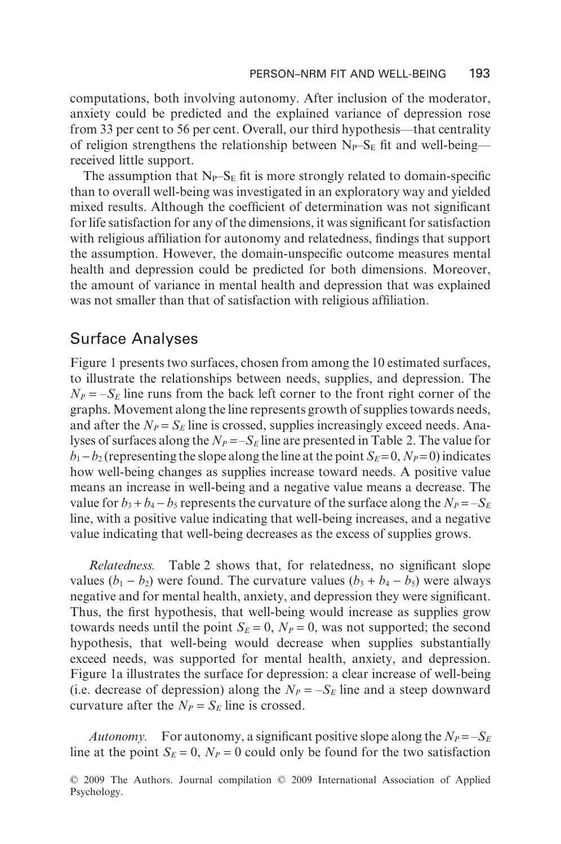computations, both involving autonomy. After inclusion of the moderator, anxiety could be predicted and the explained variance of depression rose from 33 per cent to 56 per cent. Overall, our third hypothesis—that centrality of religion strengthens the relationship between  $N_P-S_E$  fit and well-being received little support.

The assumption that  $N_{P}$ – $S_{E}$  fit is more strongly related to domain-specific than to overall well-being was investigated in an exploratory way and yielded mixed results. Although the coefficient of determination was not significant for life satisfaction for any of the dimensions, it was significant for satisfaction with religious affiliation for autonomy and relatedness, findings that support the assumption. However, the domain-unspecific outcome measures mental health and depression could be predicted for both dimensions. Moreover, the amount of variance in mental health and depression that was explained was not smaller than that of satisfaction with religious affiliation.

# Surface Analyses

Figure 1 presents two surfaces, chosen from among the 10 estimated surfaces, to illustrate the relationships between needs, supplies, and depression. The  $N_P = -S_E$  line runs from the back left corner to the front right corner of the graphs. Movement along the line represents growth of supplies towards needs, and after the  $N_P = S_E$  line is crossed, supplies increasingly exceed needs. Analyses of surfaces along the  $N_P = S_E$  line are presented in Table 2. The value for  $b_1 - b_2$  (representing the slope along the line at the point  $S_E = 0$ ,  $N_P = 0$ ) indicates how well-being changes as supplies increase toward needs. A positive value means an increase in well-being and a negative value means a decrease. The value for  $b_3 + b_4 - b_5$  represents the curvature of the surface along the  $N_P = -S_E$ line, with a positive value indicating that well-being increases, and a negative value indicating that well-being decreases as the excess of supplies grows.

*Relatedness.* Table 2 shows that, for relatedness, no significant slope values  $(b_1 - b_2)$  were found. The curvature values  $(b_3 + b_4 - b_5)$  were always negative and for mental health, anxiety, and depression they were significant. Thus, the first hypothesis, that well-being would increase as supplies grow towards needs until the point  $S_E = 0$ ,  $N_P = 0$ , was not supported; the second hypothesis, that well-being would decrease when supplies substantially exceed needs, was supported for mental health, anxiety, and depression. Figure 1a illustrates the surface for depression: a clear increase of well-being (i.e. decrease of depression) along the  $N_P = -S_E$  line and a steep downward curvature after the  $N_P = S_E$  line is crossed.

*Autonomy.* For autonomy, a significant positive slope along the  $N_P = -S_E$ line at the point  $S_E = 0$ ,  $N_P = 0$  could only be found for the two satisfaction

<sup>© 2009</sup> The Authors. Journal compilation © 2009 International Association of Applied Psychology.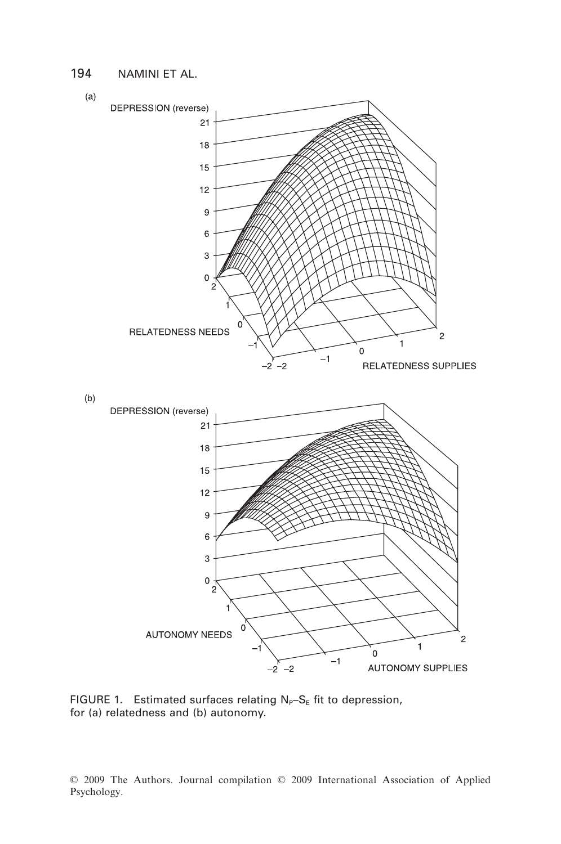

FIGURE 1. Estimated surfaces relating  $N_P-S_E$  fit to depression, for (a) relatedness and (b) autonomy.

© 2009 The Authors. Journal compilation © 2009 International Association of Applied Psychology.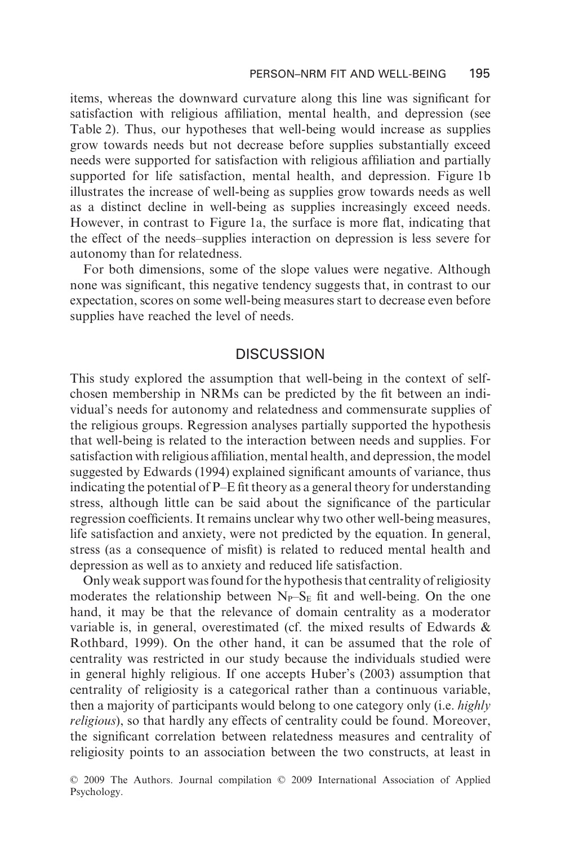items, whereas the downward curvature along this line was significant for satisfaction with religious affiliation, mental health, and depression (see Table 2). Thus, our hypotheses that well-being would increase as supplies grow towards needs but not decrease before supplies substantially exceed needs were supported for satisfaction with religious affiliation and partially supported for life satisfaction, mental health, and depression. Figure 1b illustrates the increase of well-being as supplies grow towards needs as well as a distinct decline in well-being as supplies increasingly exceed needs. However, in contrast to Figure 1a, the surface is more flat, indicating that the effect of the needs–supplies interaction on depression is less severe for autonomy than for relatedness.

For both dimensions, some of the slope values were negative. Although none was significant, this negative tendency suggests that, in contrast to our expectation, scores on some well-being measures start to decrease even before supplies have reached the level of needs.

## **DISCUSSION**

This study explored the assumption that well-being in the context of selfchosen membership in NRMs can be predicted by the fit between an individual's needs for autonomy and relatedness and commensurate supplies of the religious groups. Regression analyses partially supported the hypothesis that well-being is related to the interaction between needs and supplies. For satisfaction with religious affiliation, mental health, and depression, the model suggested by Edwards (1994) explained significant amounts of variance, thus indicating the potential of P–E fit theory as a general theory for understanding stress, although little can be said about the significance of the particular regression coefficients. It remains unclear why two other well-being measures, life satisfaction and anxiety, were not predicted by the equation. In general, stress (as a consequence of misfit) is related to reduced mental health and depression as well as to anxiety and reduced life satisfaction.

Only weak support was found for the hypothesis that centrality of religiosity moderates the relationship between  $N_P-S_E$  fit and well-being. On the one hand, it may be that the relevance of domain centrality as a moderator variable is, in general, overestimated (cf. the mixed results of Edwards & Rothbard, 1999). On the other hand, it can be assumed that the role of centrality was restricted in our study because the individuals studied were in general highly religious. If one accepts Huber's (2003) assumption that centrality of religiosity is a categorical rather than a continuous variable, then a majority of participants would belong to one category only (i.e. *highly religious*), so that hardly any effects of centrality could be found. Moreover, the significant correlation between relatedness measures and centrality of religiosity points to an association between the two constructs, at least in

<sup>© 2009</sup> The Authors. Journal compilation © 2009 International Association of Applied Psychology.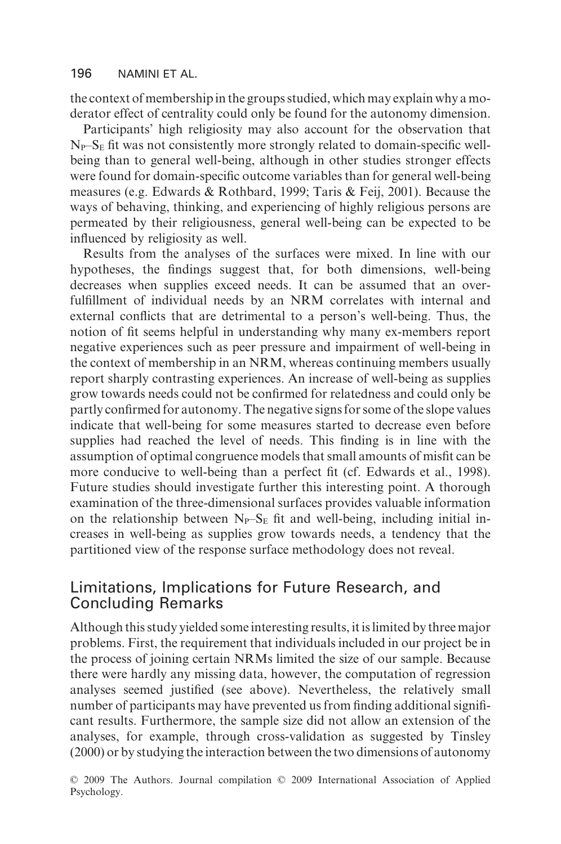the context of membership in the groups studied, which may explain why a moderator effect of centrality could only be found for the autonomy dimension.

Participants' high religiosity may also account for the observation that  $N_{P}$ – $S_{E}$  fit was not consistently more strongly related to domain-specific wellbeing than to general well-being, although in other studies stronger effects were found for domain-specific outcome variables than for general well-being measures (e.g. Edwards & Rothbard, 1999; Taris & Feij, 2001). Because the ways of behaving, thinking, and experiencing of highly religious persons are permeated by their religiousness, general well-being can be expected to be influenced by religiosity as well.

Results from the analyses of the surfaces were mixed. In line with our hypotheses, the findings suggest that, for both dimensions, well-being decreases when supplies exceed needs. It can be assumed that an overfulfillment of individual needs by an NRM correlates with internal and external conflicts that are detrimental to a person's well-being. Thus, the notion of fit seems helpful in understanding why many ex-members report negative experiences such as peer pressure and impairment of well-being in the context of membership in an NRM, whereas continuing members usually report sharply contrasting experiences. An increase of well-being as supplies grow towards needs could not be confirmed for relatedness and could only be partly confirmed for autonomy. The negative signs for some of the slope values indicate that well-being for some measures started to decrease even before supplies had reached the level of needs. This finding is in line with the assumption of optimal congruence models that small amounts of misfit can be more conducive to well-being than a perfect fit (cf. Edwards et al., 1998). Future studies should investigate further this interesting point. A thorough examination of the three-dimensional surfaces provides valuable information on the relationship between  $N_{P}-S_{E}$  fit and well-being, including initial increases in well-being as supplies grow towards needs, a tendency that the partitioned view of the response surface methodology does not reveal.

# Limitations, Implications for Future Research, and Concluding Remarks

Although this study yielded some interesting results, it is limited by three major problems. First, the requirement that individuals included in our project be in the process of joining certain NRMs limited the size of our sample. Because there were hardly any missing data, however, the computation of regression analyses seemed justified (see above). Nevertheless, the relatively small number of participants may have prevented us from finding additional significant results. Furthermore, the sample size did not allow an extension of the analyses, for example, through cross-validation as suggested by Tinsley (2000) or by studying the interaction between the two dimensions of autonomy

<sup>© 2009</sup> The Authors. Journal compilation © 2009 International Association of Applied Psychology.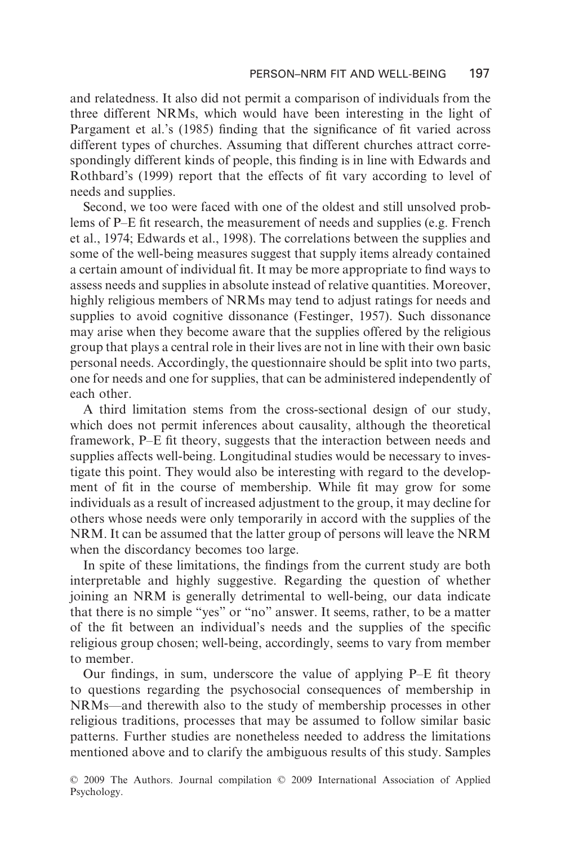and relatedness. It also did not permit a comparison of individuals from the three different NRMs, which would have been interesting in the light of Pargament et al.'s (1985) finding that the significance of fit varied across different types of churches. Assuming that different churches attract correspondingly different kinds of people, this finding is in line with Edwards and Rothbard's (1999) report that the effects of fit vary according to level of needs and supplies.

Second, we too were faced with one of the oldest and still unsolved problems of P–E fit research, the measurement of needs and supplies (e.g. French et al., 1974; Edwards et al., 1998). The correlations between the supplies and some of the well-being measures suggest that supply items already contained a certain amount of individual fit. It may be more appropriate to find ways to assess needs and supplies in absolute instead of relative quantities. Moreover, highly religious members of NRMs may tend to adjust ratings for needs and supplies to avoid cognitive dissonance (Festinger, 1957). Such dissonance may arise when they become aware that the supplies offered by the religious group that plays a central role in their lives are not in line with their own basic personal needs. Accordingly, the questionnaire should be split into two parts, one for needs and one for supplies, that can be administered independently of each other.

A third limitation stems from the cross-sectional design of our study, which does not permit inferences about causality, although the theoretical framework, P–E fit theory, suggests that the interaction between needs and supplies affects well-being. Longitudinal studies would be necessary to investigate this point. They would also be interesting with regard to the development of fit in the course of membership. While fit may grow for some individuals as a result of increased adjustment to the group, it may decline for others whose needs were only temporarily in accord with the supplies of the NRM. It can be assumed that the latter group of persons will leave the NRM when the discordancy becomes too large.

In spite of these limitations, the findings from the current study are both interpretable and highly suggestive. Regarding the question of whether joining an NRM is generally detrimental to well-being, our data indicate that there is no simple "yes" or "no" answer. It seems, rather, to be a matter of the fit between an individual's needs and the supplies of the specific religious group chosen; well-being, accordingly, seems to vary from member to member.

Our findings, in sum, underscore the value of applying P–E fit theory to questions regarding the psychosocial consequences of membership in NRMs—and therewith also to the study of membership processes in other religious traditions, processes that may be assumed to follow similar basic patterns. Further studies are nonetheless needed to address the limitations mentioned above and to clarify the ambiguous results of this study. Samples

<sup>© 2009</sup> The Authors. Journal compilation © 2009 International Association of Applied Psychology.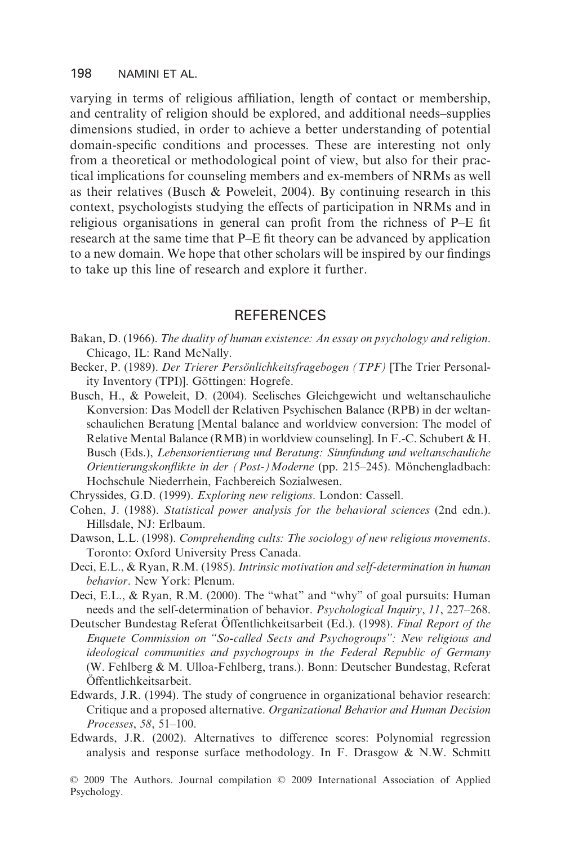varying in terms of religious affiliation, length of contact or membership, and centrality of religion should be explored, and additional needs–supplies dimensions studied, in order to achieve a better understanding of potential domain-specific conditions and processes. These are interesting not only from a theoretical or methodological point of view, but also for their practical implications for counseling members and ex-members of NRMs as well as their relatives (Busch & Poweleit, 2004). By continuing research in this context, psychologists studying the effects of participation in NRMs and in religious organisations in general can profit from the richness of P–E fit research at the same time that P–E fit theory can be advanced by application to a new domain. We hope that other scholars will be inspired by our findings to take up this line of research and explore it further.

#### **REFERENCES**

- Bakan, D. (1966). *The duality of human existence: An essay on psychology and religion*. Chicago, IL: Rand McNally.
- Becker, P. (1989). *Der Trierer Persönlichkeitsfragebogen (TPF)* [The Trier Personality Inventory (TPI)]. Göttingen: Hogrefe.
- Busch, H., & Poweleit, D. (2004). Seelisches Gleichgewicht und weltanschauliche Konversion: Das Modell der Relativen Psychischen Balance (RPB) in der weltanschaulichen Beratung [Mental balance and worldview conversion: The model of Relative Mental Balance (RMB) in worldview counseling]. In F.-C. Schubert & H. Busch (Eds.), *Lebensorientierung und Beratung: Sinnfindung und weltanschauliche Orientierungskonflikte in der (Post-)Moderne* (pp. 215–245). Mönchengladbach: Hochschule Niederrhein, Fachbereich Sozialwesen.
- Chryssides, G.D. (1999). *Exploring new religions*. London: Cassell.
- Cohen, J. (1988). *Statistical power analysis for the behavioral sciences* (2nd edn.). Hillsdale, NJ: Erlbaum.
- Dawson, L.L. (1998). *Comprehending cults: The sociology of new religious movements*. Toronto: Oxford University Press Canada.
- Deci, E.L., & Ryan, R.M. (1985). *Intrinsic motivation and self-determination in human behavior*. New York: Plenum.
- Deci, E.L., & Ryan, R.M. (2000). The "what" and "why" of goal pursuits: Human needs and the self-determination of behavior. *Psychological Inquiry*, *11*, 227–268.
- Deutscher Bundestag Referat Öffentlichkeitsarbeit (Ed.). (1998). *Final Report of the Enquete Commission on "So-called Sects and Psychogroups": New religious and ideological communities and psychogroups in the Federal Republic of Germany* (W. Fehlberg & M. Ulloa-Fehlberg, trans.). Bonn: Deutscher Bundestag, Referat Öffentlichkeitsarbeit.
- Edwards, J.R. (1994). The study of congruence in organizational behavior research: Critique and a proposed alternative. *Organizational Behavior and Human Decision Processes*, *58*, 51–100.
- Edwards, J.R. (2002). Alternatives to difference scores: Polynomial regression analysis and response surface methodology. In F. Drasgow & N.W. Schmitt

<sup>© 2009</sup> The Authors. Journal compilation © 2009 International Association of Applied Psychology.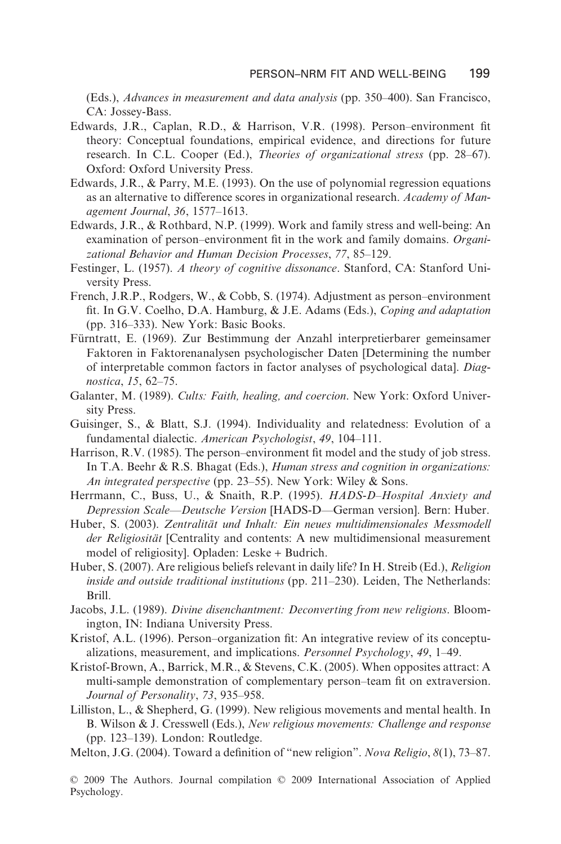(Eds.), *Advances in measurement and data analysis* (pp. 350–400). San Francisco, CA: Jossey-Bass.

- Edwards, J.R., Caplan, R.D., & Harrison, V.R. (1998). Person–environment fit theory: Conceptual foundations, empirical evidence, and directions for future research. In C.L. Cooper (Ed.), *Theories of organizational stress* (pp. 28–67). Oxford: Oxford University Press.
- Edwards, J.R., & Parry, M.E. (1993). On the use of polynomial regression equations as an alternative to difference scores in organizational research. *Academy of Management Journal*, *36*, 1577–1613.
- Edwards, J.R., & Rothbard, N.P. (1999). Work and family stress and well-being: An examination of person–environment fit in the work and family domains. *Organizational Behavior and Human Decision Processes*, *77*, 85–129.
- Festinger, L. (1957). *A theory of cognitive dissonance*. Stanford, CA: Stanford University Press.
- French, J.R.P., Rodgers, W., & Cobb, S. (1974). Adjustment as person–environment fit. In G.V. Coelho, D.A. Hamburg, & J.E. Adams (Eds.), *Coping and adaptation* (pp. 316–333). New York: Basic Books.
- Fürntratt, E. (1969). Zur Bestimmung der Anzahl interpretierbarer gemeinsamer Faktoren in Faktorenanalysen psychologischer Daten [Determining the number of interpretable common factors in factor analyses of psychological data]. *Diagnostica*, *15*, 62–75.
- Galanter, M. (1989). *Cults: Faith, healing, and coercion*. New York: Oxford University Press.
- Guisinger, S., & Blatt, S.J. (1994). Individuality and relatedness: Evolution of a fundamental dialectic. *American Psychologist*, *49*, 104–111.
- Harrison, R.V. (1985). The person–environment fit model and the study of job stress. In T.A. Beehr & R.S. Bhagat (Eds.), *Human stress and cognition in organizations: An integrated perspective* (pp. 23–55). New York: Wiley & Sons.
- Herrmann, C., Buss, U., & Snaith, R.P. (1995). *HADS-D–Hospital Anxiety and Depression Scale—Deutsche Version* [HADS-D—German version]. Bern: Huber.
- Huber, S. (2003). *Zentralität und Inhalt: Ein neues multidimensionales Messmodell der Religiosität* [Centrality and contents: A new multidimensional measurement model of religiosity]. Opladen: Leske + Budrich.
- Huber, S. (2007). Are religious beliefs relevant in daily life? In H. Streib (Ed.), *Religion inside and outside traditional institutions* (pp. 211–230). Leiden, The Netherlands: Brill.
- Jacobs, J.L. (1989). *Divine disenchantment: Deconverting from new religions*. Bloomington, IN: Indiana University Press.
- Kristof, A.L. (1996). Person–organization fit: An integrative review of its conceptualizations, measurement, and implications. *Personnel Psychology*, *49*, 1–49.
- Kristof-Brown, A., Barrick, M.R., & Stevens, C.K. (2005). When opposites attract: A multi-sample demonstration of complementary person–team fit on extraversion. *Journal of Personality*, *73*, 935–958.
- Lilliston, L., & Shepherd, G. (1999). New religious movements and mental health. In B. Wilson & J. Cresswell (Eds.), *New religious movements: Challenge and response* (pp. 123–139). London: Routledge.
- Melton, J.G. (2004). Toward a definition of "new religion". *Nova Religio*, *8*(1), 73–87.

<sup>© 2009</sup> The Authors. Journal compilation © 2009 International Association of Applied Psychology.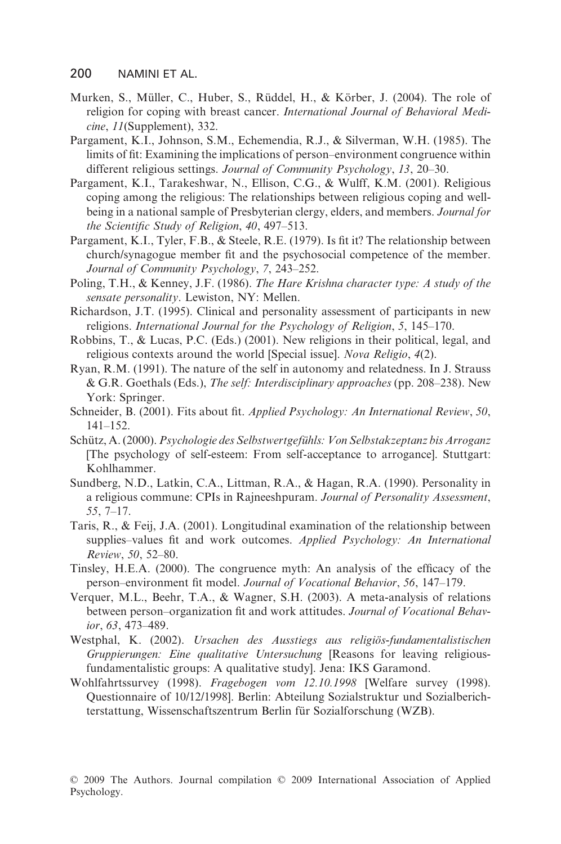- Murken, S., Müller, C., Huber, S., Rüddel, H., & Körber, J. (2004). The role of religion for coping with breast cancer. *International Journal of Behavioral Medicine*, *11*(Supplement), 332.
- Pargament, K.I., Johnson, S.M., Echemendia, R.J., & Silverman, W.H. (1985). The limits of fit: Examining the implications of person–environment congruence within different religious settings. *Journal of Community Psychology*, *13*, 20–30.
- Pargament, K.I., Tarakeshwar, N., Ellison, C.G., & Wulff, K.M. (2001). Religious coping among the religious: The relationships between religious coping and wellbeing in a national sample of Presbyterian clergy, elders, and members. *Journal for the Scientific Study of Religion*, *40*, 497–513.
- Pargament, K.I., Tyler, F.B., & Steele, R.E. (1979). Is fit it? The relationship between church/synagogue member fit and the psychosocial competence of the member. *Journal of Community Psychology*, *7*, 243–252.
- Poling, T.H., & Kenney, J.F. (1986). *The Hare Krishna character type: A study of the sensate personality*. Lewiston, NY: Mellen.
- Richardson, J.T. (1995). Clinical and personality assessment of participants in new religions. *International Journal for the Psychology of Religion*, *5*, 145–170.
- Robbins, T., & Lucas, P.C. (Eds.) (2001). New religions in their political, legal, and religious contexts around the world [Special issue]. *Nova Religio*, *4*(2).
- Ryan, R.M. (1991). The nature of the self in autonomy and relatedness. In J. Strauss & G.R. Goethals (Eds.), *The self: Interdisciplinary approaches* (pp. 208–238). New York: Springer.
- Schneider, B. (2001). Fits about fit. *Applied Psychology: An International Review*, *50*, 141–152.
- Schütz, A. (2000).*Psychologie des Selbstwertgefühls: Von Selbstakzeptanz bis Arroganz* [The psychology of self-esteem: From self-acceptance to arrogance]. Stuttgart: Kohlhammer.
- Sundberg, N.D., Latkin, C.A., Littman, R.A., & Hagan, R.A. (1990). Personality in a religious commune: CPIs in Rajneeshpuram. *Journal of Personality Assessment*, *55*, 7–17.
- Taris, R., & Feij, J.A. (2001). Longitudinal examination of the relationship between supplies–values fit and work outcomes. *Applied Psychology: An International Review*, *50*, 52–80.
- Tinsley, H.E.A. (2000). The congruence myth: An analysis of the efficacy of the person–environment fit model. *Journal of Vocational Behavior*, *56*, 147–179.
- Verquer, M.L., Beehr, T.A., & Wagner, S.H. (2003). A meta-analysis of relations between person–organization fit and work attitudes. *Journal of Vocational Behavior*, *63*, 473–489.
- Westphal, K. (2002). *Ursachen des Ausstiegs aus religiös-fundamentalistischen Gruppierungen: Eine qualitative Untersuchung* [Reasons for leaving religiousfundamentalistic groups: A qualitative study]. Jena: IKS Garamond.
- Wohlfahrtssurvey (1998). *Fragebogen vom 12.10.1998* [Welfare survey (1998). Questionnaire of 10/12/1998]. Berlin: Abteilung Sozialstruktur und Sozialberichterstattung, Wissenschaftszentrum Berlin für Sozialforschung (WZB).